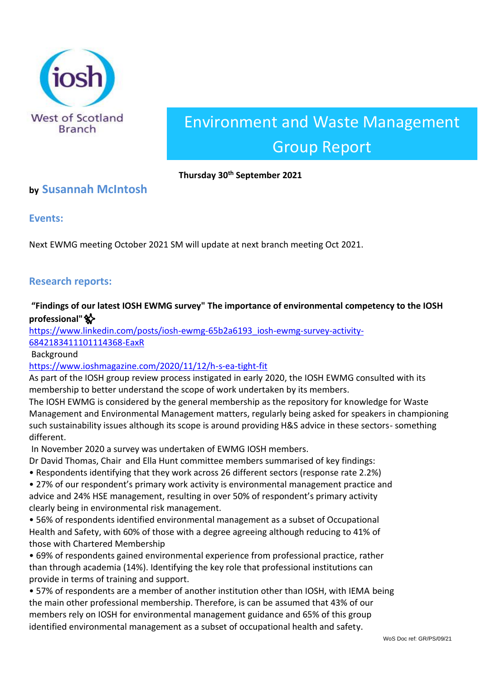

# Environment and Waste Management Group Report

#### **Thursday 30th September 2021**

## **by Susannah McIntosh**

**Events:**

Next EWMG meeting October 2021 SM will update at next branch meeting Oct 2021.

## **Research reports:**

## **"Findings of our latest IOSH EWMG survey" The importance of environmental competency to the IOSH professional"**✨

[https://www.linkedin.com/posts/iosh-ewmg-65b2a6193\\_iosh-ewmg-survey-activity-](about:blank)[6842183411101114368-EaxR](about:blank)

Background

[https://www.ioshmagazine.com/2020/11/12/h-s-ea-tight-fit](about:blank)

As part of the IOSH group review process instigated in early 2020, the IOSH EWMG consulted with its membership to better understand the scope of work undertaken by its members.

The IOSH EWMG is considered by the general membership as the repository for knowledge for Waste Management and Environmental Management matters, regularly being asked for speakers in championing such sustainability issues although its scope is around providing H&S advice in these sectors- something different.

In November 2020 a survey was undertaken of EWMG IOSH members.

Dr David Thomas, Chair and Ella Hunt committee members summarised of key findings:

• Respondents identifying that they work across 26 different sectors (response rate 2.2%)

• 27% of our respondent's primary work activity is environmental management practice and advice and 24% HSE management, resulting in over 50% of respondent's primary activity clearly being in environmental risk management.

• 56% of respondents identified environmental management as a subset of Occupational Health and Safety, with 60% of those with a degree agreeing although reducing to 41% of those with Chartered Membership

• 69% of respondents gained environmental experience from professional practice, rather than through academia (14%). Identifying the key role that professional institutions can provide in terms of training and support.

• 57% of respondents are a member of another institution other than IOSH, with IEMA being the main other professional membership. Therefore, is can be assumed that 43% of our members rely on IOSH for environmental management guidance and 65% of this group identified environmental management as a subset of occupational health and safety.